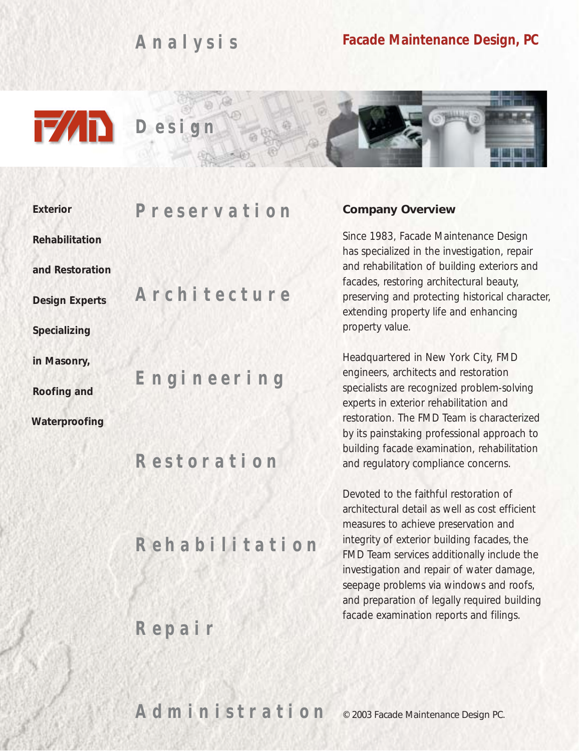*A nalysis*

## **Facade Maintenance Design, PC**





| <b>Exterior</b>       | <i>Preservation</i> |
|-----------------------|---------------------|
| <b>Rehabilitation</b> |                     |
| and Restoration       |                     |
| <b>Design Experts</b> | Architecture        |
| Specializing          |                     |
| in Masonry,           |                     |
| <b>Roofing and</b>    | Engineering         |
| Waterproofing         |                     |
|                       | Restoration         |
|                       | Rehabilitation      |
|                       |                     |

*R epair*

#### **Company Overview**

Since 1983, Facade Maintenance Design has specialized in the investigation, repair and rehabilitation of building exteriors and facades, restoring architectural beauty, preserving and protecting historical character, extending property life and enhancing property value.

Headquartered in New York City, FMD engineers, architects and restoration specialists are recognized problem-solving experts in exterior rehabilitation and restoration. The FMD Team is characterized by its painstaking professional approach to building facade examination, rehabilitation and regulatory compliance concerns.

Devoted to the faithful restoration of architectural detail as well as cost efficient measures to achieve preservation and integrity of exterior building facades, the FMD Team services additionally include the investigation and repair of water damage, seepage problems via windows and roofs, and preparation of legally required building facade examination reports and filings.

*A dministration* © 2003 Facade Maintenance Design PC.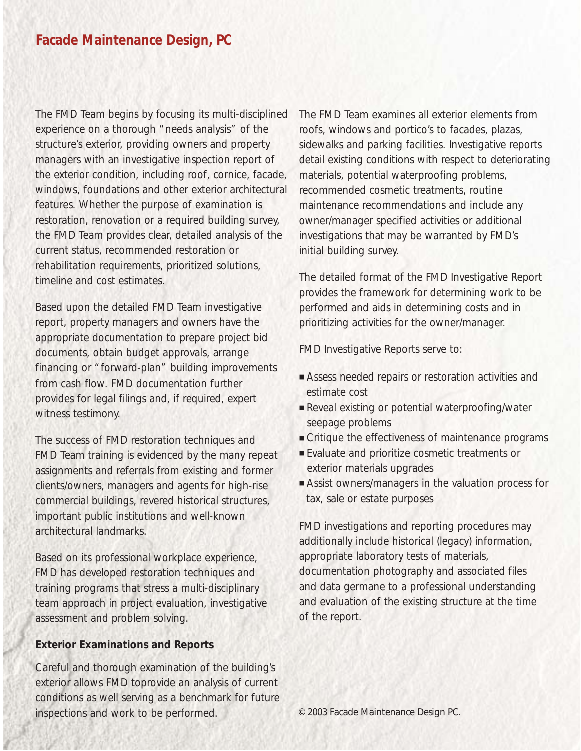The FMD Team begins by focusing its multi-disciplined experience on a thorough "needs analysis" of the structure's exterior, providing owners and property managers with an investigative inspection report of the exterior condition, including roof, cornice, facade, windows, foundations and other exterior architectural features. Whether the purpose of examination is restoration, renovation or a required building survey, the FMD Team provides clear, detailed analysis of the current status, recommended restoration or rehabilitation requirements, prioritized solutions, timeline and cost estimates.

Based upon the detailed FMD Team investigative report, property managers and owners have the appropriate documentation to prepare project bid documents, obtain budget approvals, arrange financing or "forward-plan" building improvements from cash flow. FMD documentation further provides for legal filings and, if required, expert witness testimony.

The success of FMD restoration techniques and FMD Team training is evidenced by the many repeat assignments and referrals from existing and former clients/owners, managers and agents for high-rise commercial buildings, revered historical structures, important public institutions and well-known architectural landmarks.

Based on its professional workplace experience, FMD has developed restoration techniques and training programs that stress a multi-disciplinary team approach in project evaluation, investigative assessment and problem solving.

### **Exterior Examinations and Reports**

Careful and thorough examination of the building's exterior allows FMD toprovide an analysis of current conditions as well serving as a benchmark for future inspections and work to be performed.

The FMD Team examines all exterior elements from roofs, windows and portico's to facades, plazas, sidewalks and parking facilities. Investigative reports detail existing conditions with respect to deteriorating materials, potential waterproofing problems, recommended cosmetic treatments, routine maintenance recommendations and include any owner/manager specified activities or additional investigations that may be warranted by FMD's initial building survey.

The detailed format of the FMD Investigative Report provides the framework for determining work to be performed and aids in determining costs and in prioritizing activities for the owner/manager.

FMD Investigative Reports serve to:

- Assess needed repairs or restoration activities and estimate cost
- Reveal existing or potential waterproofing/water seepage problems
- Critique the effectiveness of maintenance programs
- Evaluate and prioritize cosmetic treatments or exterior materials upgrades
- Assist owners/managers in the valuation process for tax, sale or estate purposes

FMD investigations and reporting procedures may additionally include historical (legacy) information, appropriate laboratory tests of materials, documentation photography and associated files and data germane to a professional understanding and evaluation of the existing structure at the time of the report.

© 2003 Facade Maintenance Design PC.